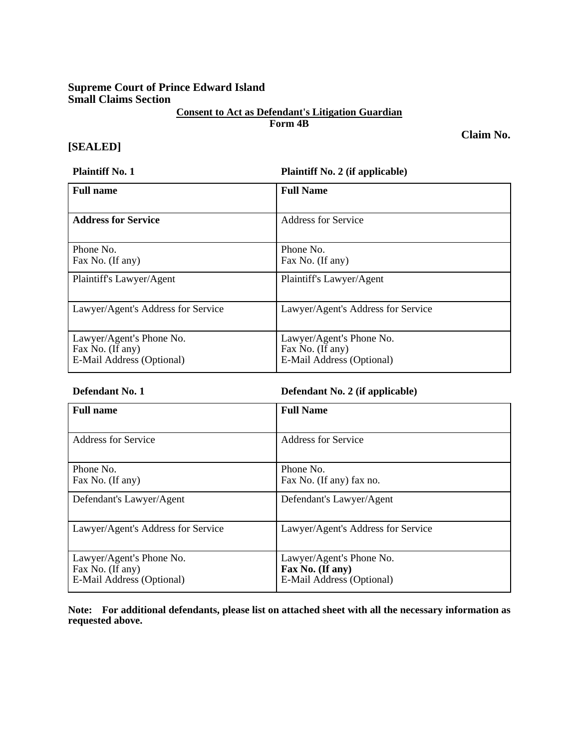## **Supreme Court of Prince Edward Island Small Claims Section**

# **Consent to Act as Defendant's Litigation Guardian**

**Form 4B** 

**Claim No.** 

## **[SEALED]**

**Plaintiff No. 1 Plaintiff No. 2 (if applicable)** 

| <b>Full name</b>                                                          | <b>Full Name</b>                                                          |
|---------------------------------------------------------------------------|---------------------------------------------------------------------------|
| <b>Address for Service</b>                                                | <b>Address for Service</b>                                                |
| Phone No.<br>Fax No. (If any)                                             | Phone No.<br>Fax No. (If any)                                             |
| Plaintiff's Lawyer/Agent                                                  | Plaintiff's Lawyer/Agent                                                  |
| Lawyer/Agent's Address for Service                                        | Lawyer/Agent's Address for Service                                        |
| Lawyer/Agent's Phone No.<br>Fax No. (If any)<br>E-Mail Address (Optional) | Lawyer/Agent's Phone No.<br>Fax No. (If any)<br>E-Mail Address (Optional) |

## **Defendant No. 1 Defendant No. 2 (if applicable)**

| <b>Full name</b>                                                          | <b>Full Name</b>                                                          |
|---------------------------------------------------------------------------|---------------------------------------------------------------------------|
| Address for Service                                                       | Address for Service                                                       |
| Phone No.<br>Fax No. (If any)                                             | Phone No.<br>Fax No. (If any) fax no.                                     |
| Defendant's Lawyer/Agent                                                  | Defendant's Lawyer/Agent                                                  |
| Lawyer/Agent's Address for Service                                        | Lawyer/Agent's Address for Service                                        |
| Lawyer/Agent's Phone No.<br>Fax No. (If any)<br>E-Mail Address (Optional) | Lawyer/Agent's Phone No.<br>Fax No. (If any)<br>E-Mail Address (Optional) |

**Note: For additional defendants, please list on attached sheet with all the necessary information as requested above.**